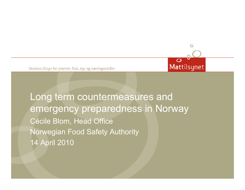Statens tilsun for planter, fisk, dur og næringsmidler

Long term countermeasures and emergency preparedness in Norway Cécile Blom, Head Office Norwegian Food Safety Authority 14 April 2010

 $\circ$ 

Mattilsynet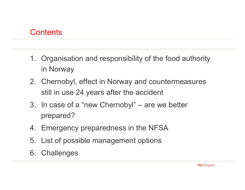#### **Contents**

- 1. Organisation and responsibility of the food authority in Norway
- 2. Chernobyl, effect in Norway and countermeasures still in use 24 years after the accident
- 3. In case of a "new Chernobyl" are we better prepared?
- 4. Emergency preparedness in the NFSA
- 5. List of possible management options
- 6. Challenges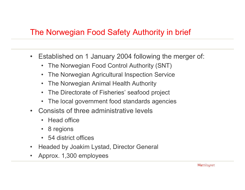### The Norwegian Food Safety Authority in brief

- $\bullet$ Established on 1 January 2004 following the merger of:
	- •The Norwegian Food Control Authority (SNT)
	- •The Norwegian Agricultural Inspection Servic e
	- •The Norwegian Animal Health Authority
	- •The Directorate of Fisheries' seafood project
	- $\bullet$ The local government food standards agencies
- •Consists of three administrative levels
	- Head office
	- •8 regions
	- 54 district offices
- $\bullet$ Headed by Joakim Lystad, Direc tor General
- •Approx. 1,300 employees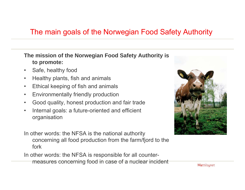#### The main goals of the Norwegian Food Safety Authority

#### **The mission of the Norwegian Food Safety Authority is to promote:**

- $\bullet$ Safe, healthy food
- $\bullet$ Healthy plants, fish and animals
- •Ethical keeping of fish and animals
- •Environmentally friendly production
- •Good quality, honest production and fair trade
- • Internal goals: a future-oriented and efficient organisation

In other words: the NFSA is the national authority concerning all food production from the farm/fjord to the fork

In other words: the NFSA is responsible for all countermeasures concerning food in case of a nuclear incident



Mattilsynet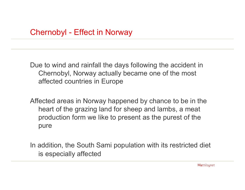Due to wind and rainfall the days following the accident in Chernobyl, Norway actually became one of the most affected countries in Europe

Affected areas in Norway happened by chance to be in the heart of the grazing land for sheep and lambs, a meat production form we like to present as the purest of the pure

In addition, the South Sami population with its restricted diet is especially affected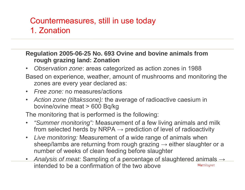## Countermeasures, still in use today 1. Zonation

**Regulation 2005-06-25 No. 693 Ovine and bovine animals from rough grazing land: Zonation**

- •*Observation zone*: areas categorized as action zones in 1988
- Based on experience, weather, amount of mushrooms and monitoring the zones are every year declared as:
- •*Free zone:* no measures/actions
- • *Action zone (tiltakssone):* the average of radioactive caesium in bovine/ovine meat > 600 Bq/kg

The monitoring that is performed is the following:

- • *"Summer monitoring":* Measurement of a few living animals and milk from selected herds by NRPA  $\rightarrow$  prediction of level of radioactivity
- • *Live monitoring:* Measurement of a wide range of animals when sheep/lambs are returning from rough grazing  $\rightarrow$  either slaughter or a number of weeks of clean feeding before slaughter
- *Analysis o f meat:* Sampling of a percentage of slaughtered animals → intended to be a confirmation of the two aboveMattilsynet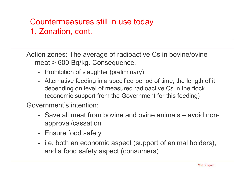## Countermeasures still in use today 1. Zonation, cont.

Action zones: The average of radioactive Cs in bovine/ovine meat > 600 Bq/kg. Consequence:

- Prohibition o f slaughter (preliminary)
- Alternative feeding in a specified period of time, the length of it depending on level of measured radioactive Cs in the flock (economic support from the Government for this feeding)

Government's intention:

- Save all meat from bovine and ovine animals avoid nonapproval/cassation
- Ensure food safety
- $\mathcal{L}_{\mathcal{A}}$ - i.e. both an economic aspect (support of animal holders), and a food safety aspect (consumers)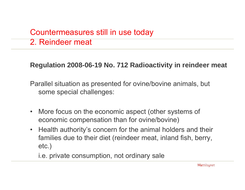## Countermeasures still in use today 2. Reindeer meat

#### **Regulation 2008-06-19 No. 712 Radioactivity in reindeer meat**

Parallel situation as presented for ovine/bovine animals, but some special challenges:

- $\bullet$ More focus on the economic aspect (other systems of economic compensation than for ovine/bovine)
- $\bullet$ Health authority's concern for the animal holders and their families due to their diet (reindeer meat, inland fish, berry, etc.)

i.e. private consumption, not ordinary sale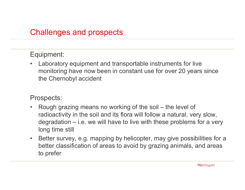### Challenges and prospects

#### Equipment:

 $\bullet$  Laboratory equipment and transportable instruments for live monitoring have now been in constant use for over 20 years since the Chernobyl accident

#### Prospects:

- •Rough grazing means no working of the soil – the level of radioactivity in the soil and its flora will follow a natural, very slow, degradation – i.e. we will have to live with these problems for a very long time still
- $\bullet$ Better survey, e.g. mapping by helicopter, may give possibilities for a better classification of areas to avoid by grazing animals, and areas to prefer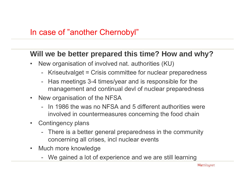#### **Will we be better prepared this time? How and why?**

- $\bullet$ New organisation of involved nat. authorities (KU)
	- Kriseutvalget = Crisis committee for nuclear preparedness
	- Has meetings 3-4 times/year and is responsible for the management and continual devl of nuclear preparedness
- $\bullet$ New organisation of the NFSA
	- In 1986 the was no NFSA and 5 different authorities were inv olved in countermeasures concerning the food chain
- $\bullet$ Contingency plans
	- -There is a better general preparedness in the community concerning all crises, incl nuclear events
- $\bullet$ Much more knowledge
	- We gained a lot of experience and we are still learning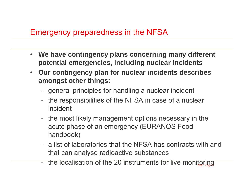#### Emergency preparedness in the NFSA

- $\bullet$  **We have contingency plans concerning many different potential emergencies, including nuclear incidents**
- **Our contingency plan for nuclear incidents describes amongst other things:**
	- -- general principles for handling a nuclear incident
	- the responsibilities of the NFSA in case of a nuclear incident
	- the most likely management options necessary in the acute phase of an emergency (EURANOS Food handbook)
	- a list of laboratories that the NFSA has contracts with and that can analyse radioactive substances
	- the localisation of the 20 instruments for live monitoring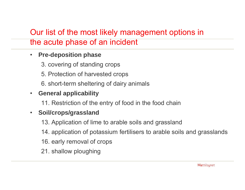## Our list of the most likely management options in the acute phase of an incident

#### $\bullet$ **Pre-deposition phase**

- 3. covering of standing crops
- 5. Protection of harvested crops
- 6. short-term sheltering of dairy animals

#### $\bullet$ **• General applicability**

11. Restriction of the entry of food in the food chain

#### $\bullet$ **Soil/crops/grassland**

- 13. Application of lime to arable soils and grassland
- 14. application of potassium fertilisers to arable soils and grasslands
- 16. early removal of crops
- 21. shallow ploughing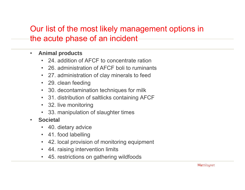### Our list of the most likely management options in the acute phase of an incident

- • **Animal products**
	- 24. addition of AFCF to concentrate ration
	- 26. administration of AFCF boli to ruminants
	- 27. administration of clay minerals to feed
	- 29. clean feeding
	- 30. decontamination techniques for milk
	- 31. distribution of saltlicks containing AFCF
	- 32. live monitoring
	- 33. manipulation of slaughter times
- • **Societal**
	- 40. dietary advice
	- 41. food labelling
	- •42. local provision of monitoring equipment
	- •44. raising intervention limits
	- •45. restrictions on gathering wildfoods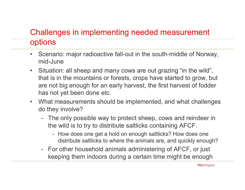# Challenges in implementing needed measurement

#### options

- •Scenario: major radioactive fall-out in the south-middle of Norway, mid-June
- $\bullet$ Situation: all sheep and many cows are out grazing "in the wild", that is in the mountains or forests, crops have started to grow, but are not big enough for an early harvest, the first harvest of fodder has not yet been done etc.
- $\bullet$ What measurements should be implemented, and what challenges do they involve?
	- The only possible way to protect sheep, cows and reindeer in the wild is to try to distribute saltlicks containing AFC F.
		- How does one get a hold on enough saltlicks? How does one distribute saltlicks to where the animals are, and quickly enough?
	- For other household animals administering of AFCF, or just keeping them indoors during a certain time might be enough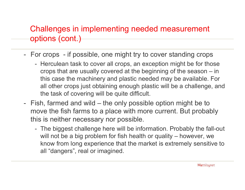## Challenges in implementing needed measurement options (cont.)

- For crops if possible, one might try to cover standing crops
	- Herculean task to cover all crops, an exception might be for those crops that are usually covered at the beginning of the season – in this case the machinery and plastic needed may be available. For all other crops just obtaining enough plastic will be a challenge, and the task of covering will be quite difficult.
- Fish, farmed and wild the only possible option might be to move the fish farms to a place with more current. But probably this is neither necessary nor possible.
	- The biggest challenge here will be information. Probably the fall-out will not be a big problem for fish health or quality – however, we know from long experience that the market is extremely sensitive to all "dangers", real or imagined.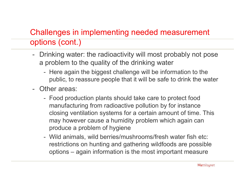## Challenges in implementing needed measurement options (cont.)

- Drinking water: the radioactivity will most probably not pose a problem to the quality of the drinking water
	- Here again the biggest challenge will be information to the public, to reassure people that it will be safe to drink the water
- -Other areas:
	- Food production plants should take care to protect food manufacturing from radioactive pollution by for instance closing ventilation systems for a certain amount of time. This may however cause a humidity problem which again can produce a problem of hygiene
	- Wild animals, wild berries/mushrooms/fresh water fish etc: restrictions on hunting and gathering wildfoods are possible options – again information is the most important measure